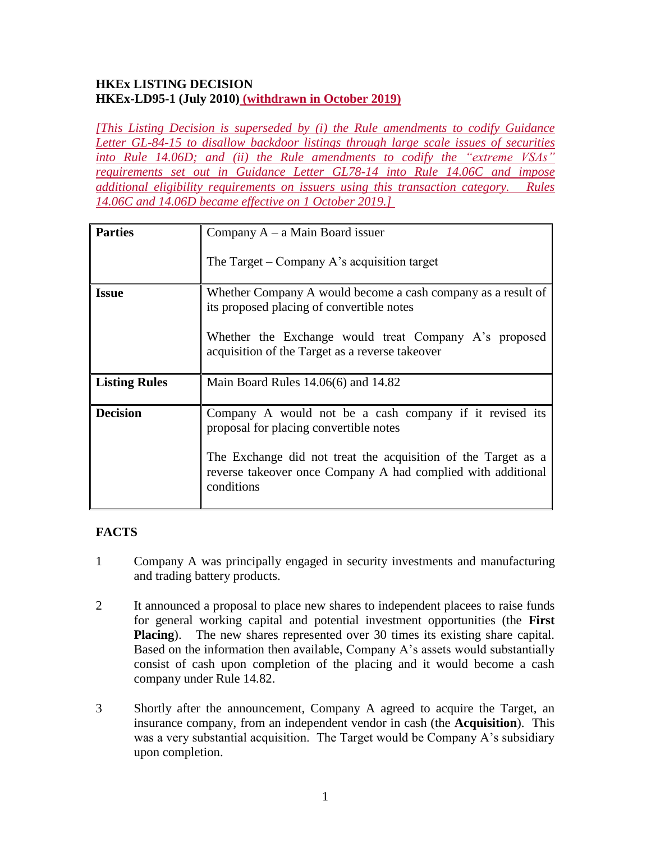### **HKEx LISTING DECISION HKEx-LD95-1 (July 2010) (withdrawn in October 2019)**

*[This Listing Decision is superseded by (i) the Rule amendments to codify Guidance Letter GL-84-15 to disallow backdoor listings through large scale issues of securities into Rule 14.06D; and (ii) the Rule amendments to codify the "extreme VSAs" requirements set out in Guidance Letter GL78-14 into Rule 14.06C and impose additional eligibility requirements on issuers using this transaction category. Rules 14.06C and 14.06D became effective on 1 October 2019.]* 

| <b>Parties</b>       | Company $A - a$ Main Board issuer                                                                                                           |
|----------------------|---------------------------------------------------------------------------------------------------------------------------------------------|
|                      | The Target – Company A's acquisition target                                                                                                 |
| <b>Issue</b>         | Whether Company A would become a cash company as a result of<br>its proposed placing of convertible notes                                   |
|                      | Whether the Exchange would treat Company A's proposed<br>acquisition of the Target as a reverse takeover                                    |
| <b>Listing Rules</b> | Main Board Rules $14.06(6)$ and $14.82$                                                                                                     |
| <b>Decision</b>      | Company A would not be a cash company if it revised its<br>proposal for placing convertible notes                                           |
|                      | The Exchange did not treat the acquisition of the Target as a<br>reverse takeover once Company A had complied with additional<br>conditions |

# **FACTS**

- 1 Company A was principally engaged in security investments and manufacturing and trading battery products.
- 2 It announced a proposal to place new shares to independent placees to raise funds for general working capital and potential investment opportunities (the **First Placing**). The new shares represented over 30 times its existing share capital. Based on the information then available, Company A's assets would substantially consist of cash upon completion of the placing and it would become a cash company under Rule 14.82.
- 3 Shortly after the announcement, Company A agreed to acquire the Target, an insurance company, from an independent vendor in cash (the **Acquisition**). This was a very substantial acquisition. The Target would be Company A's subsidiary upon completion.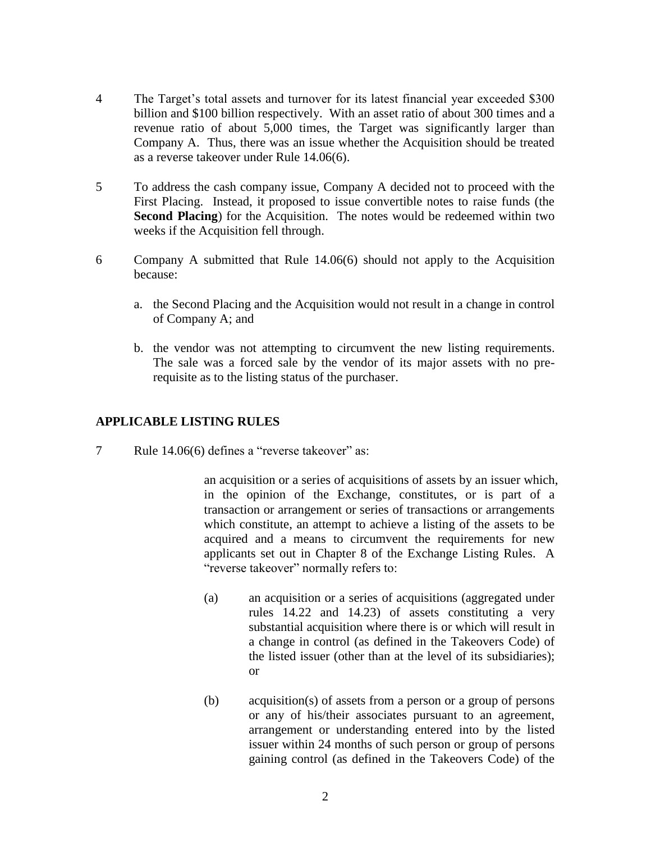- 4 The Target's total assets and turnover for its latest financial year exceeded \$300 billion and \$100 billion respectively. With an asset ratio of about 300 times and a revenue ratio of about 5,000 times, the Target was significantly larger than Company A. Thus, there was an issue whether the Acquisition should be treated as a reverse takeover under Rule 14.06(6).
- 5 To address the cash company issue, Company A decided not to proceed with the First Placing. Instead, it proposed to issue convertible notes to raise funds (the **Second Placing**) for the Acquisition. The notes would be redeemed within two weeks if the Acquisition fell through.
- 6 Company A submitted that Rule 14.06(6) should not apply to the Acquisition because:
	- a. the Second Placing and the Acquisition would not result in a change in control of Company A; and
	- b. the vendor was not attempting to circumvent the new listing requirements. The sale was a forced sale by the vendor of its major assets with no prerequisite as to the listing status of the purchaser.

## **APPLICABLE LISTING RULES**

7 Rule 14.06(6) defines a "reverse takeover" as:

an acquisition or a series of acquisitions of assets by an issuer which, in the opinion of the Exchange, constitutes, or is part of a transaction or arrangement or series of transactions or arrangements which constitute, an attempt to achieve a listing of the assets to be acquired and a means to circumvent the requirements for new applicants set out in Chapter 8 of the Exchange Listing Rules. A "reverse takeover" normally refers to:

- (a) an acquisition or a series of acquisitions (aggregated under rules 14.22 and 14.23) of assets constituting a very substantial acquisition where there is or which will result in a change in control (as defined in the Takeovers Code) of the listed issuer (other than at the level of its subsidiaries); or
- (b) acquisition(s) of assets from a person or a group of persons or any of his/their associates pursuant to an agreement, arrangement or understanding entered into by the listed issuer within 24 months of such person or group of persons gaining control (as defined in the Takeovers Code) of the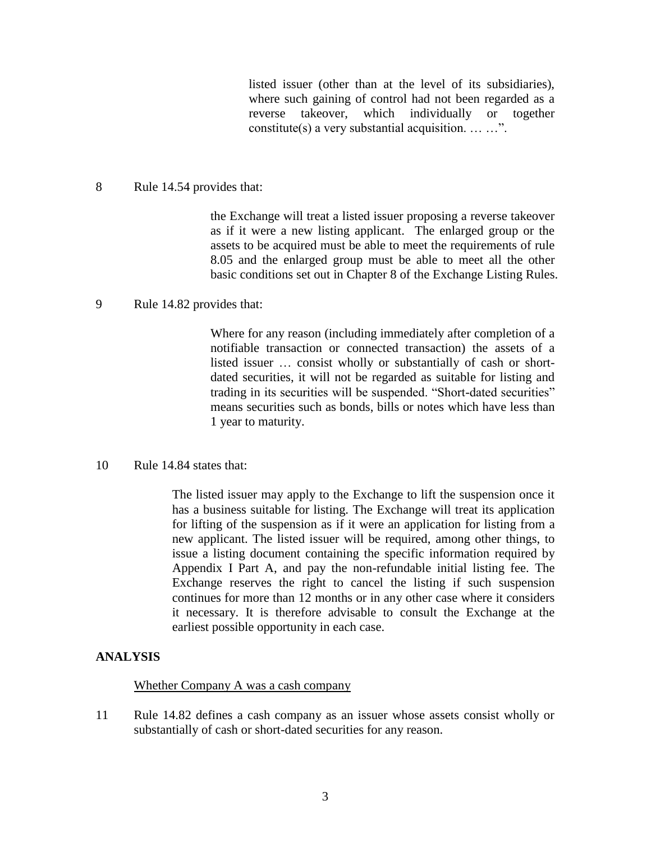listed issuer (other than at the level of its subsidiaries), where such gaining of control had not been regarded as a reverse takeover, which individually or together constitute(s) a very substantial acquisition. … …".

8 Rule 14.54 provides that:

the Exchange will treat a listed issuer proposing a reverse takeover as if it were a new listing applicant. The enlarged group or the assets to be acquired must be able to meet the requirements of rule 8.05 and the enlarged group must be able to meet all the other basic conditions set out in Chapter 8 of the Exchange Listing Rules.

9 Rule 14.82 provides that:

Where for any reason (including immediately after completion of a notifiable transaction or connected transaction) the assets of a listed issuer … consist wholly or substantially of cash or shortdated securities, it will not be regarded as suitable for listing and trading in its securities will be suspended. "Short-dated securities" means securities such as bonds, bills or notes which have less than 1 year to maturity.

10 Rule 14.84 states that:

The listed issuer may apply to the Exchange to lift the suspension once it has a business suitable for listing. The Exchange will treat its application for lifting of the suspension as if it were an application for listing from a new applicant. The listed issuer will be required, among other things, to issue a listing document containing the specific information required by Appendix I Part A, and pay the non-refundable initial listing fee. The Exchange reserves the right to cancel the listing if such suspension continues for more than 12 months or in any other case where it considers it necessary. It is therefore advisable to consult the Exchange at the earliest possible opportunity in each case.

#### **ANALYSIS**

#### Whether Company A was a cash company

11 Rule 14.82 defines a cash company as an issuer whose assets consist wholly or substantially of cash or short-dated securities for any reason.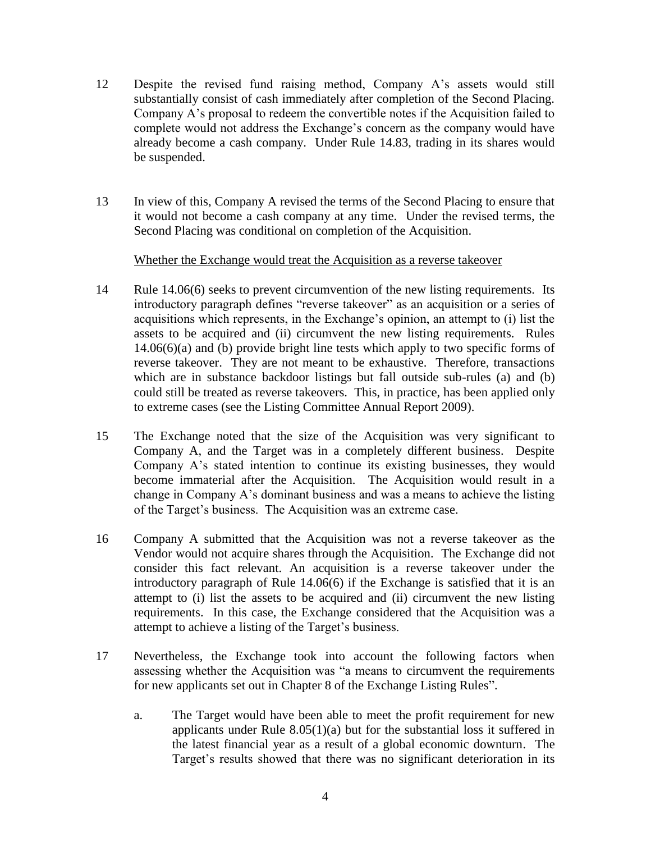- 12 Despite the revised fund raising method, Company A's assets would still substantially consist of cash immediately after completion of the Second Placing. Company A's proposal to redeem the convertible notes if the Acquisition failed to complete would not address the Exchange's concern as the company would have already become a cash company. Under Rule 14.83, trading in its shares would be suspended.
- 13 In view of this, Company A revised the terms of the Second Placing to ensure that it would not become a cash company at any time. Under the revised terms, the Second Placing was conditional on completion of the Acquisition.

### Whether the Exchange would treat the Acquisition as a reverse takeover

- 14 Rule 14.06(6) seeks to prevent circumvention of the new listing requirements. Its introductory paragraph defines "reverse takeover" as an acquisition or a series of acquisitions which represents, in the Exchange's opinion, an attempt to (i) list the assets to be acquired and (ii) circumvent the new listing requirements. Rules 14.06(6)(a) and (b) provide bright line tests which apply to two specific forms of reverse takeover. They are not meant to be exhaustive. Therefore, transactions which are in substance backdoor listings but fall outside sub-rules (a) and (b) could still be treated as reverse takeovers. This, in practice, has been applied only to extreme cases (see the Listing Committee Annual Report 2009).
- 15 The Exchange noted that the size of the Acquisition was very significant to Company A, and the Target was in a completely different business. Despite Company A's stated intention to continue its existing businesses, they would become immaterial after the Acquisition. The Acquisition would result in a change in Company A's dominant business and was a means to achieve the listing of the Target's business. The Acquisition was an extreme case.
- 16 Company A submitted that the Acquisition was not a reverse takeover as the Vendor would not acquire shares through the Acquisition. The Exchange did not consider this fact relevant. An acquisition is a reverse takeover under the introductory paragraph of Rule 14.06(6) if the Exchange is satisfied that it is an attempt to (i) list the assets to be acquired and (ii) circumvent the new listing requirements. In this case, the Exchange considered that the Acquisition was a attempt to achieve a listing of the Target's business.
- 17 Nevertheless, the Exchange took into account the following factors when assessing whether the Acquisition was "a means to circumvent the requirements for new applicants set out in Chapter 8 of the Exchange Listing Rules".
	- a. The Target would have been able to meet the profit requirement for new applicants under Rule  $8.05(1)(a)$  but for the substantial loss it suffered in the latest financial year as a result of a global economic downturn. The Target's results showed that there was no significant deterioration in its